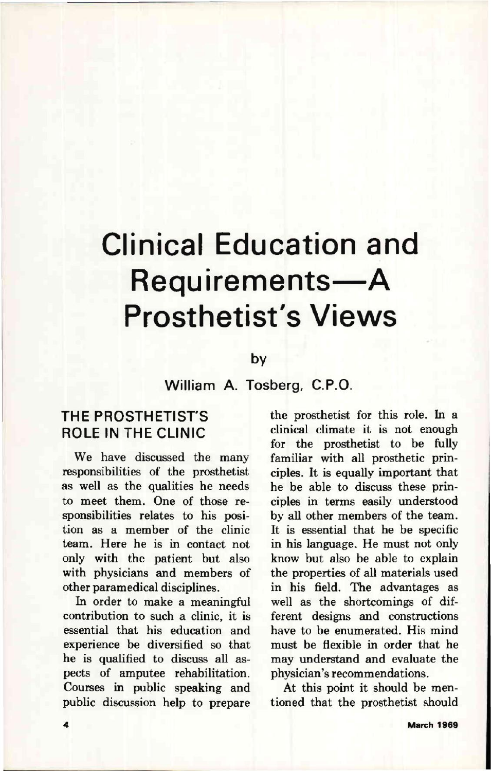## **Clinical Education and Requirements—A Prosthetist's Views**

**by** 

**William A. Tosberg, C.P.O.** 

## **THE PROSTHETIST'S ROLE IN THE CLINIC**

We have discussed the many responsibilities of the prosthetist as well as the qualities he needs to meet them. One of those responsibilities relates to his position as a member of the clinic team. Here he is in contact not only with the patient but also with physicians and members of other paramedical disciplines.

In order to make a meaningful contribution to such a clinic, it is essential that his education and experience be diversified so that he is qualified to discuss all aspects of amputee rehabilitation. Courses in public speaking and public discussion help to prepare the prosthetist for this role. In a clinical climate it is not enough for the prosthetist to be fully familiar with all prosthetic principles. It is equally important that he be able to discuss these principles in terms easily understood by all other members of the team. It is essential that he be specific in his language. He must not only know but also be able to explain the properties of all materials used in his field. The advantages as well as the shortcomings of different designs and constructions have to be enumerated. His mind must be flexible in order that he may understand and evaluate the physician's recommendations.

At this point it should be mentioned that the prosthetist should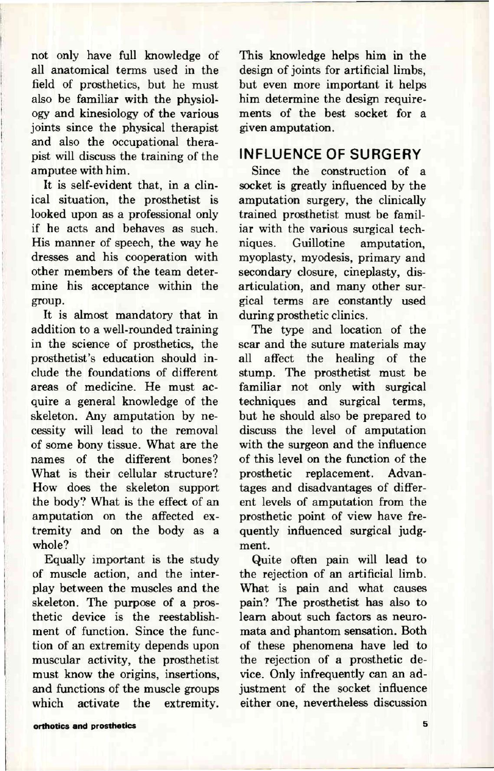not only have full knowledge of all anatomical terms used in the field of prosthetics, but he must also be familiar with the physiology and kinesiology of the various joints since the physical therapist and also the occupational therapist will discuss the training of the amputee with him.

It is self-evident that, in a clinical situation, the prosthetist is looked upon as a professional only if he acts and behaves as such. His manner of speech, the way he dresses and his cooperation with other members of the team determine his acceptance within the group.

It is almost mandatory that in addition to a well-rounded training in the science of prosthetics, the prosthetist's education should include the foundations of different areas of medicine. He must acquire a general knowledge of the skeleton. Any amputation by necessity will lead to the removal of some bony tissue. What are the names of the different bones? What is their cellular structure? How does the skeleton support the body? What is the effect of an amputation on the affected extremity and on the body as a whole?

Equally important is the study of muscle action, and the interplay between the muscles and the skeleton. The purpose of a prosthetic device is the reestablishment of function. Since the function of an extremity depends upon muscular activity, the prosthetist must know the origins, insertions, and functions of the muscle groups which activate the extremity.

This knowledge helps him in the design of joints for artificial limbs. but even more important it helps him determine the design requirements of the best socket for a given amputation.

## **INFLUENCE OF SURGERY**

Since the construction of a socket is greatly influenced by the amputation surgery, the clinically trained prosthetist must be familiar with the various surgical techniques. Guillotine amputation, myoplasty, myodesis, primary and secondary closure, cineplasty, disarticulation, and many other surgical terms are constantly used during prosthetic clinics.

The type and location of the scar and the suture materials may all affect the healing of the stump. The prosthetist must be familiar not only with surgical techniques and surgical terms, but he should also be prepared to discuss the level of amputation with the surgeon and the influence of this level on the function of the prosthetic replacement. Advantages and disadvantages of different levels of amputation from the prosthetic point of view have frequently influenced surgical judgment.

Quite often pain will lead to the rejection of an artificial limb. What is pain and what causes pain? The prosthetist has also to learn about such factors as neuromata and phantom sensation. Both of these phenomena have led to the rejection of a prosthetic device. Only infrequently can an adjustment of the socket influence either one, nevertheless discussion

orthotics and prosthetics